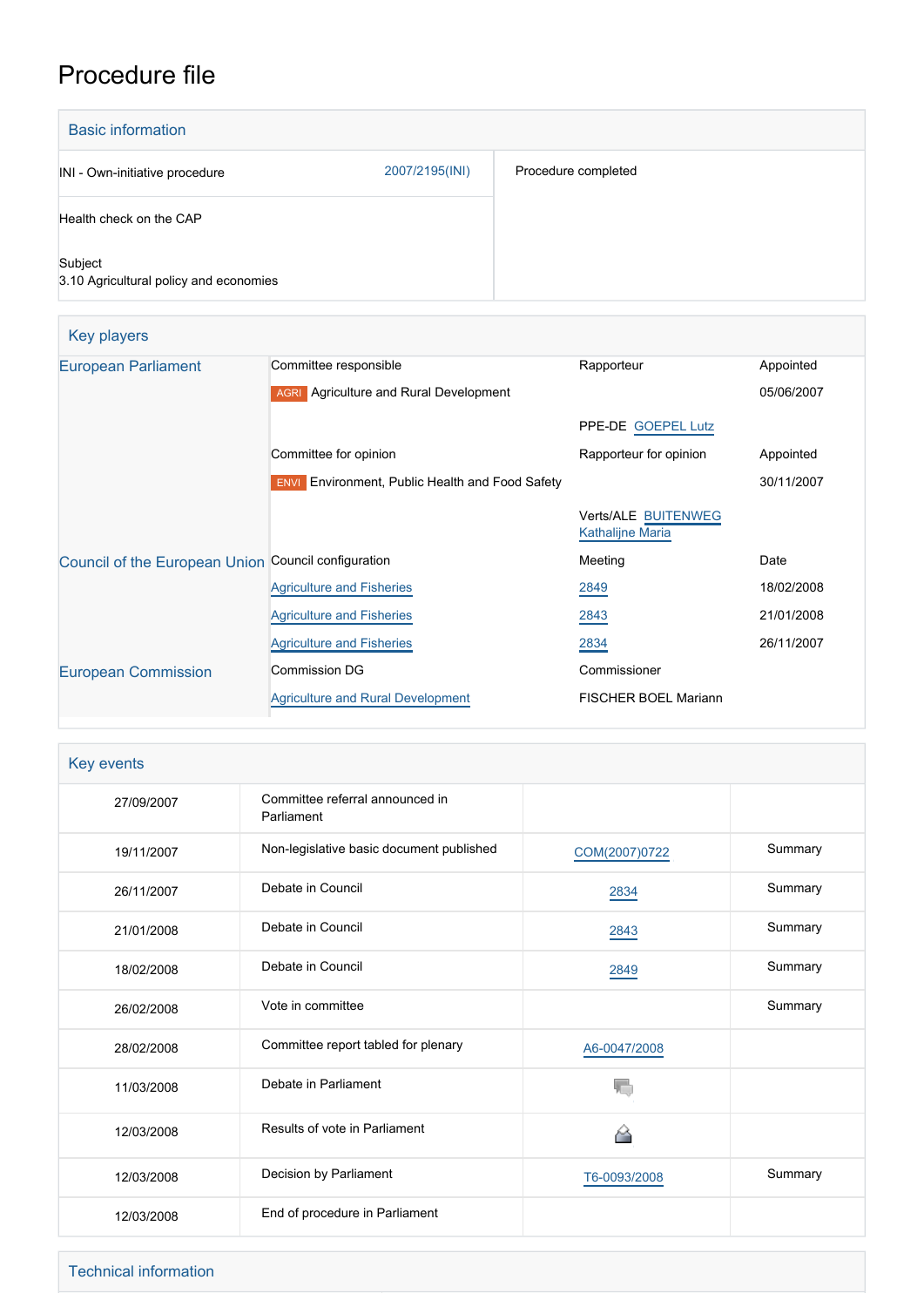# Procedure file

| <b>Basic information</b>                          |                |                     |
|---------------------------------------------------|----------------|---------------------|
| INI - Own-initiative procedure                    | 2007/2195(INI) | Procedure completed |
| Health check on the CAP                           |                |                     |
| Subject<br>3.10 Agricultural policy and economies |                |                     |

| Key players                                         |                                                                  |                                                |            |
|-----------------------------------------------------|------------------------------------------------------------------|------------------------------------------------|------------|
| <b>European Parliament</b>                          | Committee responsible                                            | Rapporteur                                     | Appointed  |
|                                                     | <b>AGRI</b> Agriculture and Rural Development                    |                                                | 05/06/2007 |
|                                                     |                                                                  | PPE-DE GOEPEL Lutz                             |            |
|                                                     | Committee for opinion                                            | Rapporteur for opinion                         | Appointed  |
|                                                     | <b>Environment, Public Health and Food Safety</b><br><b>ENVI</b> |                                                | 30/11/2007 |
|                                                     |                                                                  | Verts/ALE BUITENWEG<br><b>Kathalijne Maria</b> |            |
| Council of the European Union Council configuration |                                                                  | Meeting                                        | Date       |
|                                                     | <b>Agriculture and Fisheries</b>                                 | 2849                                           | 18/02/2008 |
|                                                     | <b>Agriculture and Fisheries</b>                                 | 2843                                           | 21/01/2008 |
|                                                     | <b>Agriculture and Fisheries</b>                                 | 2834                                           | 26/11/2007 |
| <b>European Commission</b>                          | <b>Commission DG</b>                                             | Commissioner                                   |            |
|                                                     | <b>Agriculture and Rural Development</b>                         | FISCHER BOEL Mariann                           |            |

## Key events

| 27/09/2007 | Committee referral announced in<br>Parliament |               |         |
|------------|-----------------------------------------------|---------------|---------|
| 19/11/2007 | Non-legislative basic document published      | COM(2007)0722 | Summary |
| 26/11/2007 | Debate in Council                             | 2834          | Summary |
| 21/01/2008 | Debate in Council                             | 2843          | Summary |
| 18/02/2008 | Debate in Council                             | 2849          | Summary |
| 26/02/2008 | Vote in committee                             |               | Summary |
| 28/02/2008 | Committee report tabled for plenary           | A6-0047/2008  |         |
| 11/03/2008 | Debate in Parliament                          |               |         |
| 12/03/2008 | Results of vote in Parliament                 | ◠             |         |
| 12/03/2008 | Decision by Parliament                        | T6-0093/2008  | Summary |
| 12/03/2008 | End of procedure in Parliament                |               |         |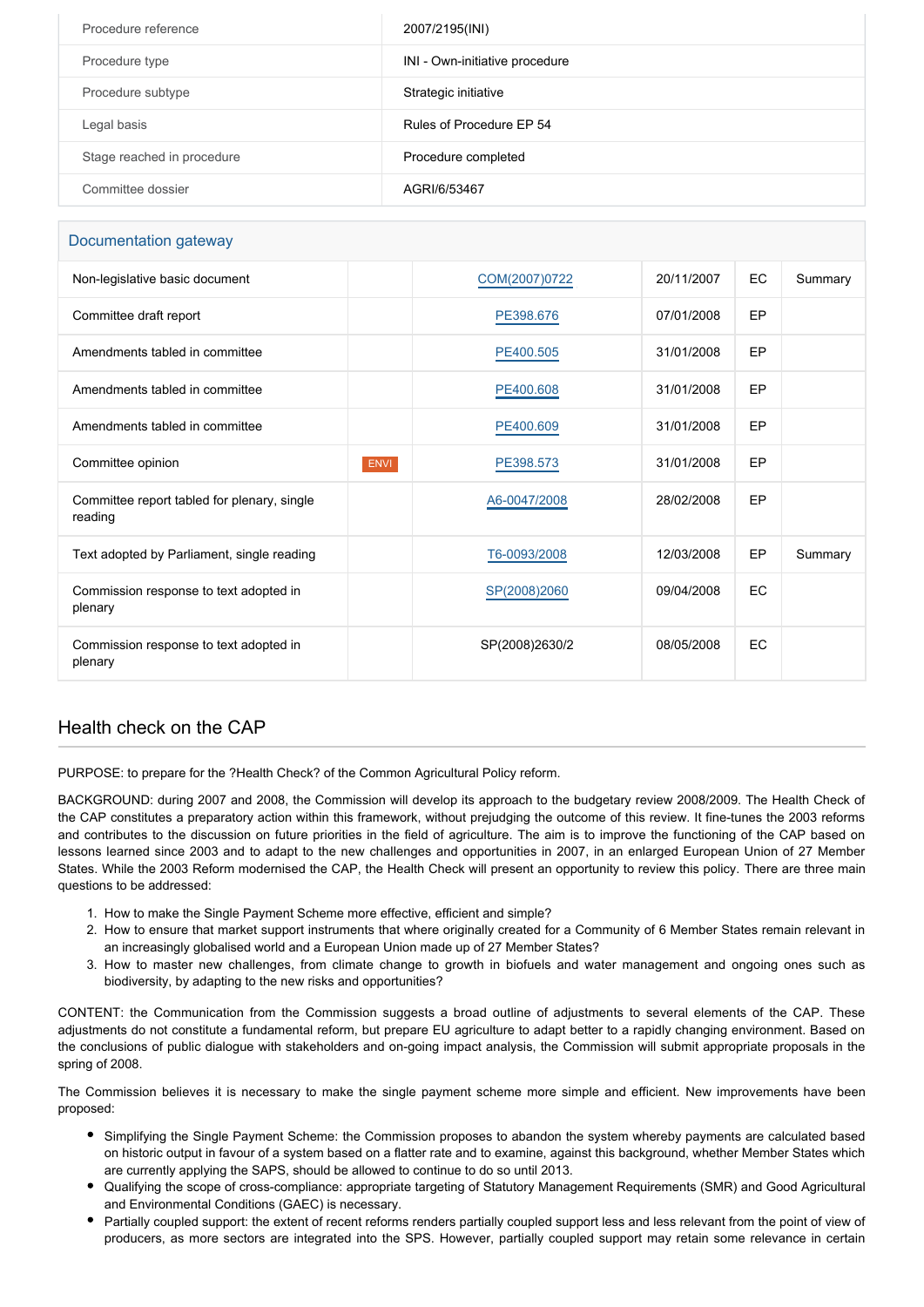| Procedure reference        | 2007/2195(INI)                 |
|----------------------------|--------------------------------|
| Procedure type             | INI - Own-initiative procedure |
| Procedure subtype          | Strategic initiative           |
| Legal basis                | Rules of Procedure EP 54       |
| Stage reached in procedure | Procedure completed            |
| Committee dossier          | AGRI/6/53467                   |

#### Documentation gateway

| Non-legislative basic document                         |             | COM(2007)0722  | 20/11/2007 | EC.       | Summary |
|--------------------------------------------------------|-------------|----------------|------------|-----------|---------|
| Committee draft report                                 |             | PE398.676      | 07/01/2008 | EP        |         |
| Amendments tabled in committee                         |             | PE400.505      | 31/01/2008 | EP        |         |
| Amendments tabled in committee                         |             | PE400.608      | 31/01/2008 | EP        |         |
| Amendments tabled in committee                         |             | PE400.609      | 31/01/2008 | EP        |         |
| Committee opinion                                      | <b>ENVI</b> | PE398.573      | 31/01/2008 | EP        |         |
| Committee report tabled for plenary, single<br>reading |             | A6-0047/2008   | 28/02/2008 | EP        |         |
| Text adopted by Parliament, single reading             |             | T6-0093/2008   | 12/03/2008 | EP        | Summary |
| Commission response to text adopted in<br>plenary      |             | SP(2008)2060   | 09/04/2008 | <b>EC</b> |         |
| Commission response to text adopted in<br>plenary      |             | SP(2008)2630/2 | 08/05/2008 | EC        |         |
|                                                        |             |                |            |           |         |

#### Health check on the CAP

PURPOSE: to prepare for the ?Health Check? of the Common Agricultural Policy reform.

BACKGROUND: during 2007 and 2008, the Commission will develop its approach to the budgetary review 2008/2009. The Health Check of the CAP constitutes a preparatory action within this framework, without prejudging the outcome of this review. It fine-tunes the 2003 reforms and contributes to the discussion on future priorities in the field of agriculture. The aim is to improve the functioning of the CAP based on lessons learned since 2003 and to adapt to the new challenges and opportunities in 2007, in an enlarged European Union of 27 Member States. While the 2003 Reform modernised the CAP, the Health Check will present an opportunity to review this policy. There are three main questions to be addressed:

- 1. How to make the Single Payment Scheme more effective, efficient and simple?
- 2. How to ensure that market support instruments that where originally created for a Community of 6 Member States remain relevant in an increasingly globalised world and a European Union made up of 27 Member States?
- 3. How to master new challenges, from climate change to growth in biofuels and water management and ongoing ones such as biodiversity, by adapting to the new risks and opportunities?

CONTENT: the Communication from the Commission suggests a broad outline of adjustments to several elements of the CAP. These adjustments do not constitute a fundamental reform, but prepare EU agriculture to adapt better to a rapidly changing environment. Based on the conclusions of public dialogue with stakeholders and on-going impact analysis, the Commission will submit appropriate proposals in the spring of 2008.

The Commission believes it is necessary to make the single payment scheme more simple and efficient. New improvements have been proposed:

- Simplifying the Single Payment Scheme: the Commission proposes to abandon the system whereby payments are calculated based on historic output in favour of a system based on a flatter rate and to examine, against this background, whether Member States which are currently applying the SAPS, should be allowed to continue to do so until 2013.
- Qualifying the scope of cross-compliance: appropriate targeting of Statutory Management Requirements (SMR) and Good Agricultural and Environmental Conditions (GAEC) is necessary.
- Partially coupled support: the extent of recent reforms renders partially coupled support less and less relevant from the point of view of producers, as more sectors are integrated into the SPS. However, partially coupled support may retain some relevance in certain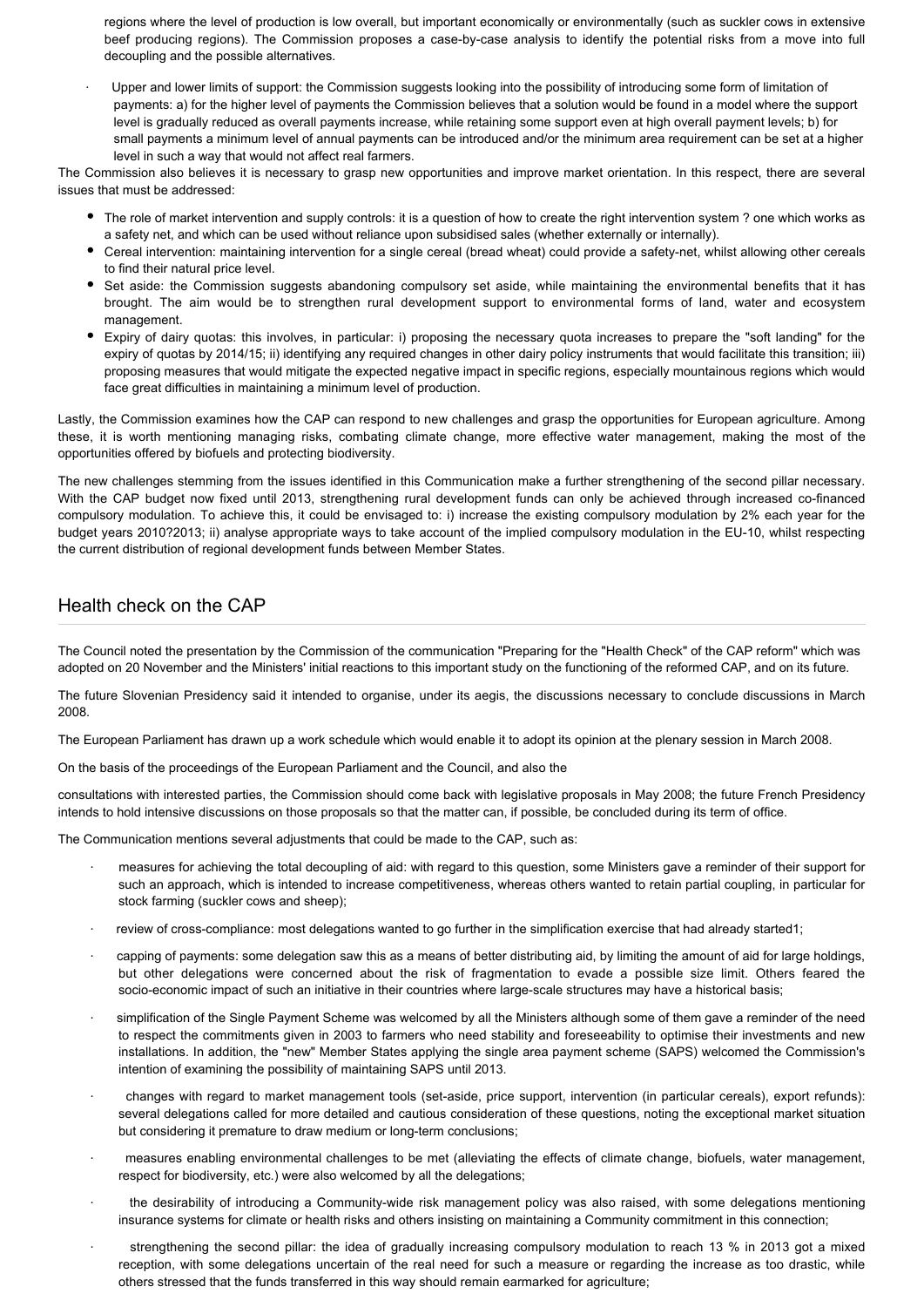regions where the level of production is low overall, but important economically or environmentally (such as suckler cows in extensive beef producing regions). The Commission proposes a case-by-case analysis to identify the potential risks from a move into full decoupling and the possible alternatives.

Upper and lower limits of support: the Commission suggests looking into the possibility of introducing some form of limitation of payments: a) for the higher level of payments the Commission believes that a solution would be found in a model where the support level is gradually reduced as overall payments increase, while retaining some support even at high overall payment levels; b) for small payments a minimum level of annual payments can be introduced and/or the minimum area requirement can be set at a higher level in such a way that would not affect real farmers.

The Commission also believes it is necessary to grasp new opportunities and improve market orientation. In this respect, there are several issues that must be addressed:

- The role of market intervention and supply controls: it is a question of how to create the right intervention system ? one which works as a safety net, and which can be used without reliance upon subsidised sales (whether externally or internally).
- Cereal intervention: maintaining intervention for a single cereal (bread wheat) could provide a safety-net, whilst allowing other cereals to find their natural price level.
- Set aside: the Commission suggests abandoning compulsory set aside, while maintaining the environmental benefits that it has brought. The aim would be to strengthen rural development support to environmental forms of land, water and ecosystem management.
- Expiry of dairy quotas: this involves, in particular: i) proposing the necessary quota increases to prepare the "soft landing" for the expiry of quotas by 2014/15; ii) identifying any required changes in other dairy policy instruments that would facilitate this transition; iii) proposing measures that would mitigate the expected negative impact in specific regions, especially mountainous regions which would face great difficulties in maintaining a minimum level of production.

Lastly, the Commission examines how the CAP can respond to new challenges and grasp the opportunities for European agriculture. Among these, it is worth mentioning managing risks, combating climate change, more effective water management, making the most of the opportunities offered by biofuels and protecting biodiversity.

The new challenges stemming from the issues identified in this Communication make a further strengthening of the second pillar necessary. With the CAP budget now fixed until 2013, strengthening rural development funds can only be achieved through increased co-financed compulsory modulation. To achieve this, it could be envisaged to: i) increase the existing compulsory modulation by 2% each year for the budget years 2010?2013; ii) analyse appropriate ways to take account of the implied compulsory modulation in the EU-10, whilst respecting the current distribution of regional development funds between Member States.

### Health check on the CAP

The Council noted the presentation by the Commission of the communication "Preparing for the "Health Check" of the CAP reform" which was adopted on 20 November and the Ministers' initial reactions to this important study on the functioning of the reformed CAP, and on its future.

The future Slovenian Presidency said it intended to organise, under its aegis, the discussions necessary to conclude discussions in March 2008.

The European Parliament has drawn up a work schedule which would enable it to adopt its opinion at the plenary session in March 2008.

On the basis of the proceedings of the European Parliament and the Council, and also the

consultations with interested parties, the Commission should come back with legislative proposals in May 2008; the future French Presidency intends to hold intensive discussions on those proposals so that the matter can, if possible, be concluded during its term of office.

The Communication mentions several adjustments that could be made to the CAP, such as:

- · measures for achieving the total decoupling of aid: with regard to this question, some Ministers gave a reminder of their support for such an approach, which is intended to increase competitiveness, whereas others wanted to retain partial coupling, in particular for stock farming (suckler cows and sheep);
- · review of cross-compliance: most delegations wanted to go further in the simplification exercise that had already started1;
- · capping of payments: some delegation saw this as a means of better distributing aid, by limiting the amount of aid for large holdings, but other delegations were concerned about the risk of fragmentation to evade a possible size limit. Others feared the socio-economic impact of such an initiative in their countries where large-scale structures may have a historical basis;
- simplification of the Single Payment Scheme was welcomed by all the Ministers although some of them gave a reminder of the need to respect the commitments given in 2003 to farmers who need stability and foreseeability to optimise their investments and new installations. In addition, the "new" Member States applying the single area payment scheme (SAPS) welcomed the Commission's intention of examining the possibility of maintaining SAPS until 2013.
- · changes with regard to market management tools (set-aside, price support, intervention (in particular cereals), export refunds): several delegations called for more detailed and cautious consideration of these questions, noting the exceptional market situation but considering it premature to draw medium or long-term conclusions;
- · measures enabling environmental challenges to be met (alleviating the effects of climate change, biofuels, water management, respect for biodiversity, etc.) were also welcomed by all the delegations;
- the desirability of introducing a Community-wide risk management policy was also raised, with some delegations mentioning insurance systems for climate or health risks and others insisting on maintaining a Community commitment in this connection;
- strengthening the second pillar: the idea of gradually increasing compulsory modulation to reach 13 % in 2013 got a mixed reception, with some delegations uncertain of the real need for such a measure or regarding the increase as too drastic, while others stressed that the funds transferred in this way should remain earmarked for agriculture;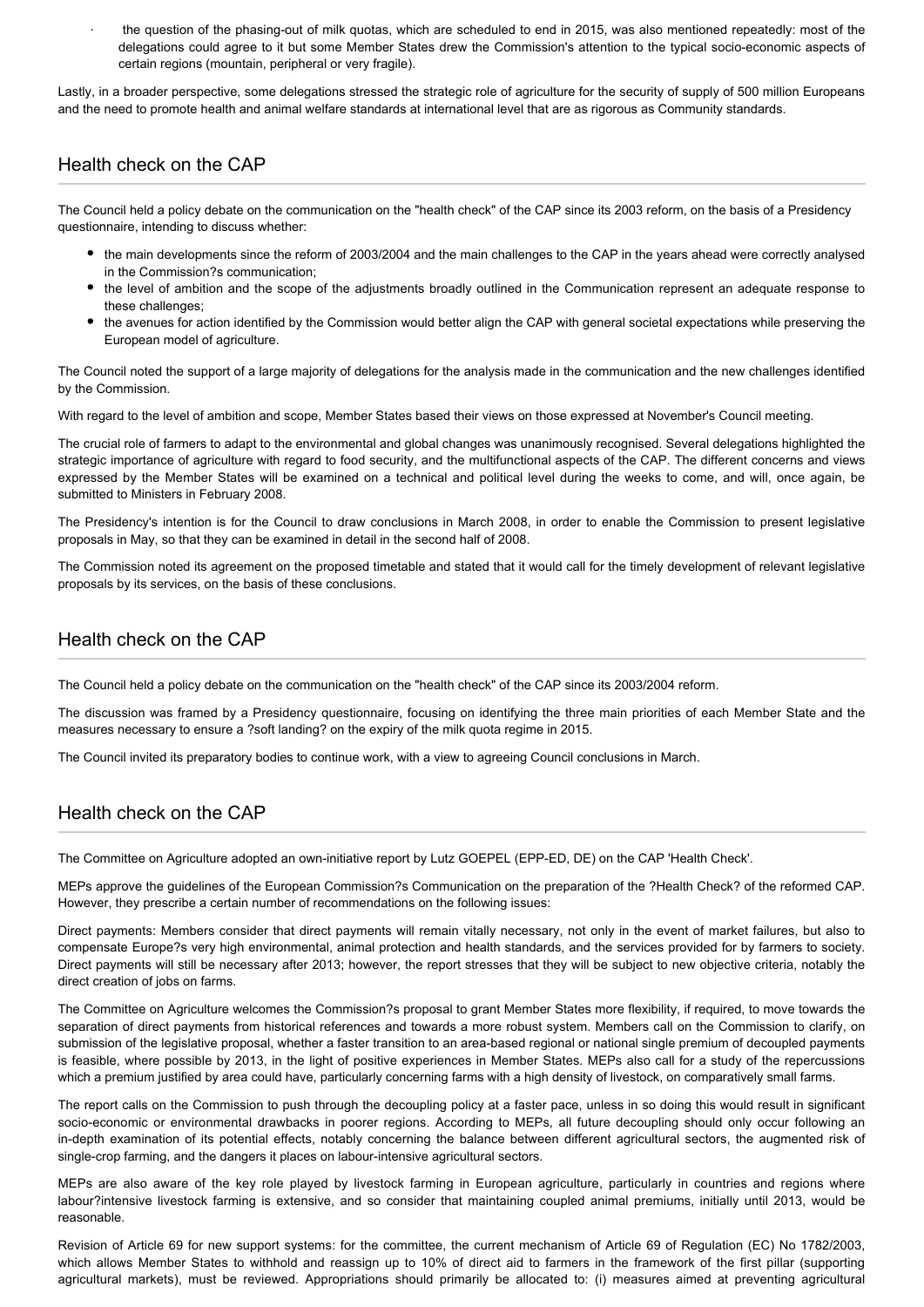the question of the phasing-out of milk quotas, which are scheduled to end in 2015, was also mentioned repeatedly: most of the delegations could agree to it but some Member States drew the Commission's attention to the typical socio-economic aspects of certain regions (mountain, peripheral or very fragile).

Lastly, in a broader perspective, some delegations stressed the strategic role of agriculture for the security of supply of 500 million Europeans and the need to promote health and animal welfare standards at international level that are as rigorous as Community standards.

#### Health check on the CAP

The Council held a policy debate on the communication on the "health check" of the CAP since its 2003 reform, on the basis of a Presidency questionnaire, intending to discuss whether:

- the main developments since the reform of 2003/2004 and the main challenges to the CAP in the years ahead were correctly analysed in the Commission?s communication;
- the level of ambition and the scope of the adjustments broadly outlined in the Communication represent an adequate response to these challenges;
- the avenues for action identified by the Commission would better align the CAP with general societal expectations while preserving the European model of agriculture.

The Council noted the support of a large majority of delegations for the analysis made in the communication and the new challenges identified by the Commission.

With regard to the level of ambition and scope, Member States based their views on those expressed at November's Council meeting.

The crucial role of farmers to adapt to the environmental and global changes was unanimously recognised. Several delegations highlighted the strategic importance of agriculture with regard to food security, and the multifunctional aspects of the CAP. The different concerns and views expressed by the Member States will be examined on a technical and political level during the weeks to come, and will, once again, be submitted to Ministers in February 2008.

The Presidency's intention is for the Council to draw conclusions in March 2008, in order to enable the Commission to present legislative proposals in May, so that they can be examined in detail in the second half of 2008.

The Commission noted its agreement on the proposed timetable and stated that it would call for the timely development of relevant legislative proposals by its services, on the basis of these conclusions.

#### Health check on the CAP

The Council held a policy debate on the communication on the "health check" of the CAP since its 2003/2004 reform.

The discussion was framed by a Presidency questionnaire, focusing on identifying the three main priorities of each Member State and the measures necessary to ensure a ?soft landing? on the expiry of the milk quota regime in 2015.

The Council invited its preparatory bodies to continue work, with a view to agreeing Council conclusions in March.

### Health check on the CAP

The Committee on Agriculture adopted an own-initiative report by Lutz GOEPEL (EPP-ED, DE) on the CAP 'Health Check'.

MEPs approve the guidelines of the European Commission?s Communication on the preparation of the ?Health Check? of the reformed CAP. However, they prescribe a certain number of recommendations on the following issues:

Direct payments: Members consider that direct payments will remain vitally necessary, not only in the event of market failures, but also to compensate Europe?s very high environmental, animal protection and health standards, and the services provided for by farmers to society. Direct payments will still be necessary after 2013; however, the report stresses that they will be subject to new objective criteria, notably the direct creation of jobs on farms.

The Committee on Agriculture welcomes the Commission?s proposal to grant Member States more flexibility, if required, to move towards the separation of direct payments from historical references and towards a more robust system. Members call on the Commission to clarify, on submission of the legislative proposal, whether a faster transition to an area-based regional or national single premium of decoupled payments is feasible, where possible by 2013, in the light of positive experiences in Member States. MEPs also call for a study of the repercussions which a premium justified by area could have, particularly concerning farms with a high density of livestock, on comparatively small farms.

The report calls on the Commission to push through the decoupling policy at a faster pace, unless in so doing this would result in significant socio-economic or environmental drawbacks in poorer regions. According to MEPs, all future decoupling should only occur following an in-depth examination of its potential effects, notably concerning the balance between different agricultural sectors, the augmented risk of single-crop farming, and the dangers it places on labour-intensive agricultural sectors.

MEPs are also aware of the key role played by livestock farming in European agriculture, particularly in countries and regions where labour?intensive livestock farming is extensive, and so consider that maintaining coupled animal premiums, initially until 2013, would be reasonable.

Revision of Article 69 for new support systems: for the committee, the current mechanism of Article 69 of Regulation (EC) No 1782/2003, which allows Member States to withhold and reassign up to 10% of direct aid to farmers in the framework of the first pillar (supporting agricultural markets), must be reviewed. Appropriations should primarily be allocated to: (i) measures aimed at preventing agricultural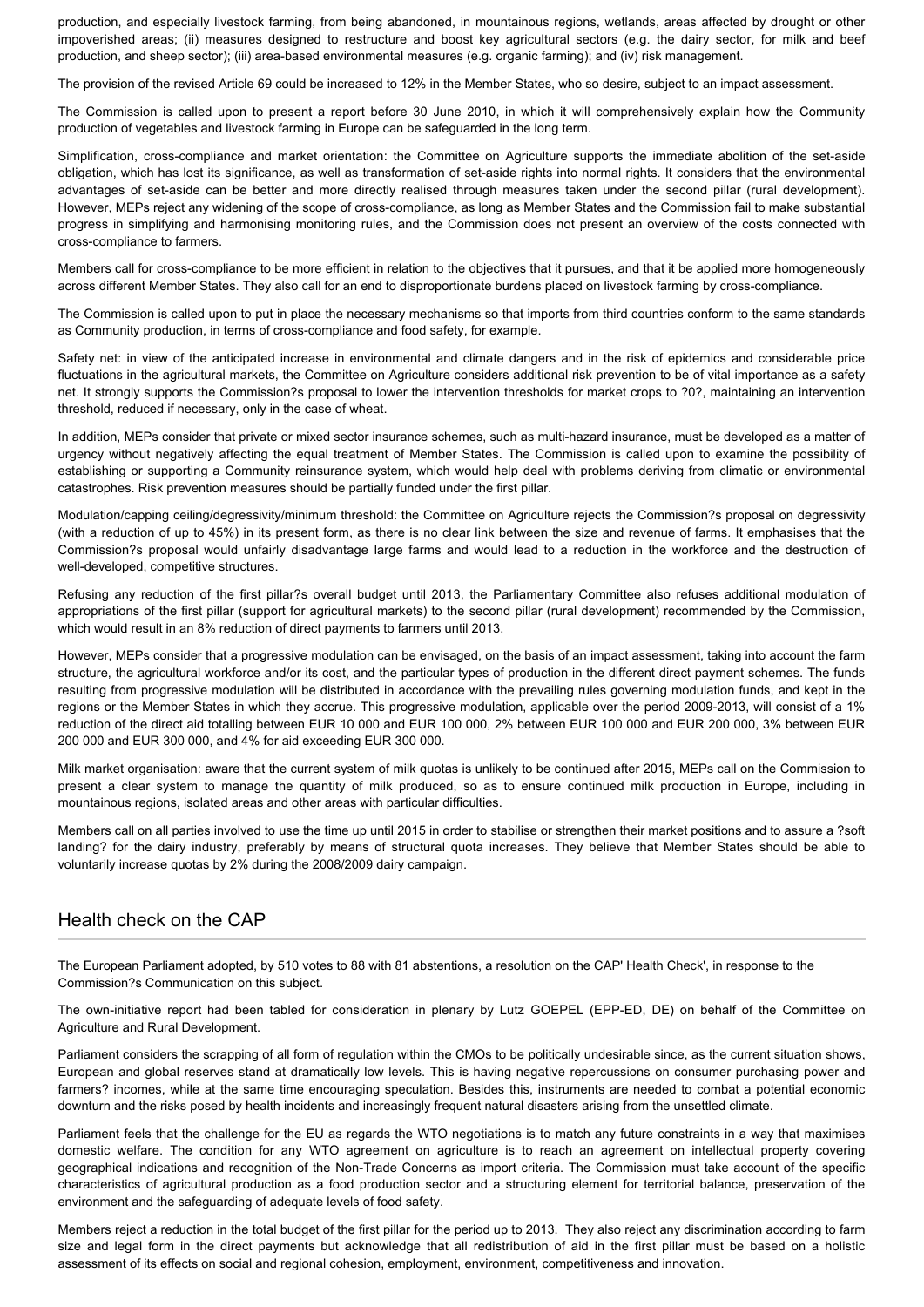production, and especially livestock farming, from being abandoned, in mountainous regions, wetlands, areas affected by drought or other impoverished areas; (ii) measures designed to restructure and boost key agricultural sectors (e.g. the dairy sector, for milk and beef production, and sheep sector); (iii) area-based environmental measures (e.g. organic farming); and (iv) risk management.

The provision of the revised Article 69 could be increased to 12% in the Member States, who so desire, subject to an impact assessment.

The Commission is called upon to present a report before 30 June 2010, in which it will comprehensively explain how the Community production of vegetables and livestock farming in Europe can be safeguarded in the long term.

Simplification, cross-compliance and market orientation: the Committee on Agriculture supports the immediate abolition of the set-aside obligation, which has lost its significance, as well as transformation of set-aside rights into normal rights. It considers that the environmental advantages of set-aside can be better and more directly realised through measures taken under the second pillar (rural development). However, MEPs reject any widening of the scope of cross-compliance, as long as Member States and the Commission fail to make substantial progress in simplifying and harmonising monitoring rules, and the Commission does not present an overview of the costs connected with cross-compliance to farmers.

Members call for cross-compliance to be more efficient in relation to the objectives that it pursues, and that it be applied more homogeneously across different Member States. They also call for an end to disproportionate burdens placed on livestock farming by cross-compliance.

The Commission is called upon to put in place the necessary mechanisms so that imports from third countries conform to the same standards as Community production, in terms of cross-compliance and food safety, for example.

Safety net: in view of the anticipated increase in environmental and climate dangers and in the risk of epidemics and considerable price fluctuations in the agricultural markets, the Committee on Agriculture considers additional risk prevention to be of vital importance as a safety net. It strongly supports the Commission?s proposal to lower the intervention thresholds for market crops to ?0?, maintaining an intervention threshold, reduced if necessary, only in the case of wheat.

In addition, MEPs consider that private or mixed sector insurance schemes, such as multi-hazard insurance, must be developed as a matter of urgency without negatively affecting the equal treatment of Member States. The Commission is called upon to examine the possibility of establishing or supporting a Community reinsurance system, which would help deal with problems deriving from climatic or environmental catastrophes. Risk prevention measures should be partially funded under the first pillar.

Modulation/capping ceiling/degressivity/minimum threshold: the Committee on Agriculture rejects the Commission?s proposal on degressivity (with a reduction of up to 45%) in its present form, as there is no clear link between the size and revenue of farms. It emphasises that the Commission?s proposal would unfairly disadvantage large farms and would lead to a reduction in the workforce and the destruction of well-developed, competitive structures.

Refusing any reduction of the first pillar?s overall budget until 2013, the Parliamentary Committee also refuses additional modulation of appropriations of the first pillar (support for agricultural markets) to the second pillar (rural development) recommended by the Commission, which would result in an 8% reduction of direct payments to farmers until 2013.

However, MEPs consider that a progressive modulation can be envisaged, on the basis of an impact assessment, taking into account the farm structure, the agricultural workforce and/or its cost, and the particular types of production in the different direct payment schemes. The funds resulting from progressive modulation will be distributed in accordance with the prevailing rules governing modulation funds, and kept in the regions or the Member States in which they accrue. This progressive modulation, applicable over the period 2009-2013, will consist of a 1% reduction of the direct aid totalling between EUR 10 000 and EUR 100 000, 2% between EUR 100 000 and EUR 200 000, 3% between EUR 200 000 and EUR 300 000, and 4% for aid exceeding EUR 300 000.

Milk market organisation: aware that the current system of milk quotas is unlikely to be continued after 2015, MEPs call on the Commission to present a clear system to manage the quantity of milk produced, so as to ensure continued milk production in Europe, including in mountainous regions, isolated areas and other areas with particular difficulties.

Members call on all parties involved to use the time up until 2015 in order to stabilise or strengthen their market positions and to assure a ?soft landing? for the dairy industry, preferably by means of structural quota increases. They believe that Member States should be able to voluntarily increase quotas by 2% during the 2008/2009 dairy campaign.

### Health check on the CAP

The European Parliament adopted, by 510 votes to 88 with 81 abstentions, a resolution on the CAP' Health Check', in response to the Commission?s Communication on this subject.

The own-initiative report had been tabled for consideration in plenary by Lutz GOEPEL (EPP-ED, DE) on behalf of the Committee on Agriculture and Rural Development.

Parliament considers the scrapping of all form of regulation within the CMOs to be politically undesirable since, as the current situation shows. European and global reserves stand at dramatically low levels. This is having negative repercussions on consumer purchasing power and farmers? incomes, while at the same time encouraging speculation. Besides this, instruments are needed to combat a potential economic downturn and the risks posed by health incidents and increasingly frequent natural disasters arising from the unsettled climate.

Parliament feels that the challenge for the EU as regards the WTO negotiations is to match any future constraints in a way that maximises domestic welfare. The condition for any WTO agreement on agriculture is to reach an agreement on intellectual property covering geographical indications and recognition of the Non-Trade Concerns as import criteria. The Commission must take account of the specific characteristics of agricultural production as a food production sector and a structuring element for territorial balance, preservation of the environment and the safeguarding of adequate levels of food safety.

Members reject a reduction in the total budget of the first pillar for the period up to 2013. They also reject any discrimination according to farm size and legal form in the direct payments but acknowledge that all redistribution of aid in the first pillar must be based on a holistic assessment of its effects on social and regional cohesion, employment, environment, competitiveness and innovation.